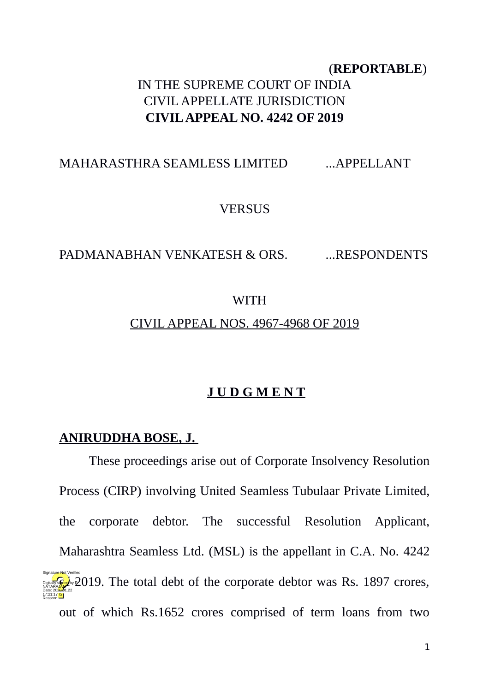# (**REPORTABLE**) IN THE SUPREME COURT OF INDIA CIVIL APPELLATE JURISDICTION **CIVIL APPEAL NO. 4242 OF 2019**

## MAHARASTHRA SEAMLESS LIMITED ...APPELLANT

## **VERSUS**

## PADMANABHAN VENKATESH & ORS. ...RESPONDENTS

#### WITH

CIVIL APPEAL NOS. 4967-4968 OF 2019

## **J U D G M E N T**

## **ANIRUDDHA BOSE, J.**

These proceedings arise out of Corporate Insolvency Resolution Process (CIRP) involving United Seamless Tubulaar Private Limited, the corporate debtor. The successful Resolution Applicant, Maharashtra Seamless Ltd. (MSL) is the appellant in C.A. No. 4242 **DREFINGERAL** 2019. The total debt of the corporate debtor was Rs. 1897 crores, out of which Rs.1652 crores comprised of term loans from two Date: 2020.01.22 17:21:17 IST Reason: Signature Not Verified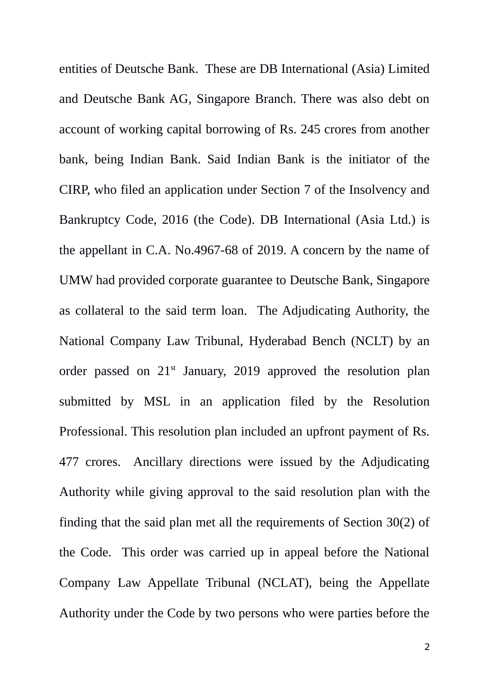entities of Deutsche Bank. These are DB International (Asia) Limited and Deutsche Bank AG, Singapore Branch. There was also debt on account of working capital borrowing of Rs. 245 crores from another bank, being Indian Bank. Said Indian Bank is the initiator of the CIRP, who filed an application under Section 7 of the Insolvency and Bankruptcy Code, 2016 (the Code). DB International (Asia Ltd.) is the appellant in C.A. No.4967-68 of 2019. A concern by the name of UMW had provided corporate guarantee to Deutsche Bank, Singapore as collateral to the said term loan. The Adjudicating Authority, the National Company Law Tribunal, Hyderabad Bench (NCLT) by an order passed on  $21^{st}$  January, 2019 approved the resolution plan submitted by MSL in an application filed by the Resolution Professional. This resolution plan included an upfront payment of Rs. 477 crores. Ancillary directions were issued by the Adjudicating Authority while giving approval to the said resolution plan with the finding that the said plan met all the requirements of Section 30(2) of the Code. This order was carried up in appeal before the National Company Law Appellate Tribunal (NCLAT), being the Appellate Authority under the Code by two persons who were parties before the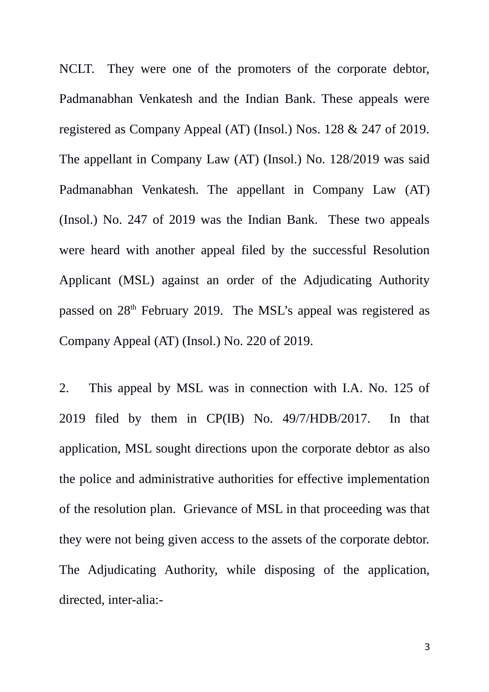NCLT. They were one of the promoters of the corporate debtor, Padmanabhan Venkatesh and the Indian Bank. These appeals were registered as Company Appeal (AT) (Insol.) Nos. 128 & 247 of 2019. The appellant in Company Law (AT) (Insol.) No. 128/2019 was said Padmanabhan Venkatesh. The appellant in Company Law (AT) (Insol.) No. 247 of 2019 was the Indian Bank. These two appeals were heard with another appeal filed by the successful Resolution Applicant (MSL) against an order of the Adjudicating Authority passed on 28<sup>th</sup> February 2019. The MSL's appeal was registered as Company Appeal (AT) (Insol.) No. 220 of 2019.

2. This appeal by MSL was in connection with I.A. No. 125 of 2019 filed by them in CP(IB) No. 49/7/HDB/2017. In that application, MSL sought directions upon the corporate debtor as also the police and administrative authorities for effective implementation of the resolution plan. Grievance of MSL in that proceeding was that they were not being given access to the assets of the corporate debtor. The Adjudicating Authority, while disposing of the application, directed, inter-alia:-

3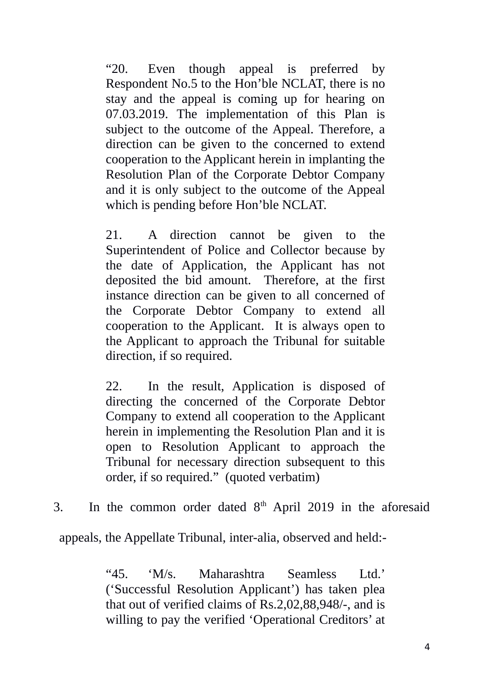"20. Even though appeal is preferred by Respondent No.5 to the Hon'ble NCLAT, there is no stay and the appeal is coming up for hearing on 07.03.2019. The implementation of this Plan is subject to the outcome of the Appeal. Therefore, a direction can be given to the concerned to extend cooperation to the Applicant herein in implanting the Resolution Plan of the Corporate Debtor Company and it is only subject to the outcome of the Appeal which is pending before Hon'ble NCLAT.

21. A direction cannot be given to the Superintendent of Police and Collector because by the date of Application, the Applicant has not deposited the bid amount. Therefore, at the first instance direction can be given to all concerned of the Corporate Debtor Company to extend all cooperation to the Applicant. It is always open to the Applicant to approach the Tribunal for suitable direction, if so required.

22. In the result, Application is disposed of directing the concerned of the Corporate Debtor Company to extend all cooperation to the Applicant herein in implementing the Resolution Plan and it is open to Resolution Applicant to approach the Tribunal for necessary direction subsequent to this order, if so required." (quoted verbatim)

3. In the common order dated  $8<sup>th</sup>$  April 2019 in the aforesaid

appeals, the Appellate Tribunal, inter-alia, observed and held:-

"45. 'M/s. Maharashtra Seamless Ltd.' ('Successful Resolution Applicant') has taken plea that out of verified claims of Rs.2,02,88,948/-, and is willing to pay the verified 'Operational Creditors' at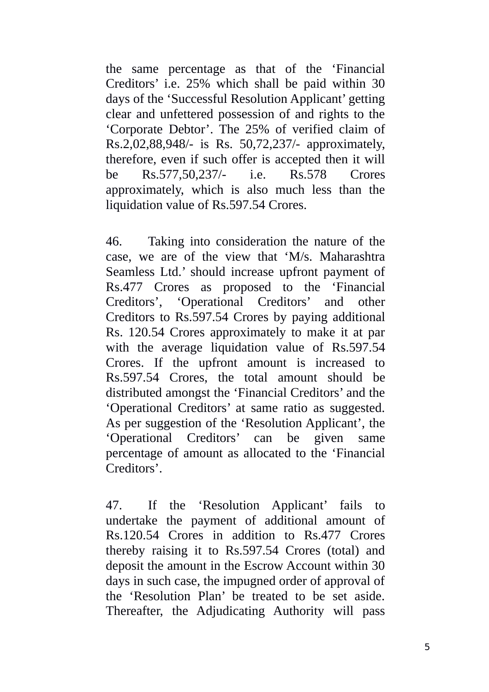the same percentage as that of the 'Financial Creditors' i.e. 25% which shall be paid within 30 days of the 'Successful Resolution Applicant' getting clear and unfettered possession of and rights to the 'Corporate Debtor'. The 25% of verified claim of Rs.2,02,88,948/- is Rs. 50,72,237/- approximately, therefore, even if such offer is accepted then it will be Rs.577,50,237/- i.e. Rs.578 Crores approximately, which is also much less than the liquidation value of Rs.597.54 Crores.

46. Taking into consideration the nature of the case, we are of the view that 'M/s. Maharashtra Seamless Ltd.' should increase upfront payment of Rs.477 Crores as proposed to the 'Financial Creditors', 'Operational Creditors' and other Creditors to Rs.597.54 Crores by paying additional Rs. 120.54 Crores approximately to make it at par with the average liquidation value of Rs.597.54 Crores. If the upfront amount is increased to Rs.597.54 Crores, the total amount should be distributed amongst the 'Financial Creditors' and the 'Operational Creditors' at same ratio as suggested. As per suggestion of the 'Resolution Applicant', the 'Operational Creditors' can be given same percentage of amount as allocated to the 'Financial Creditors'.

47. If the 'Resolution Applicant' fails to undertake the payment of additional amount of Rs.120.54 Crores in addition to Rs.477 Crores thereby raising it to Rs.597.54 Crores (total) and deposit the amount in the Escrow Account within 30 days in such case, the impugned order of approval of the 'Resolution Plan' be treated to be set aside. Thereafter, the Adjudicating Authority will pass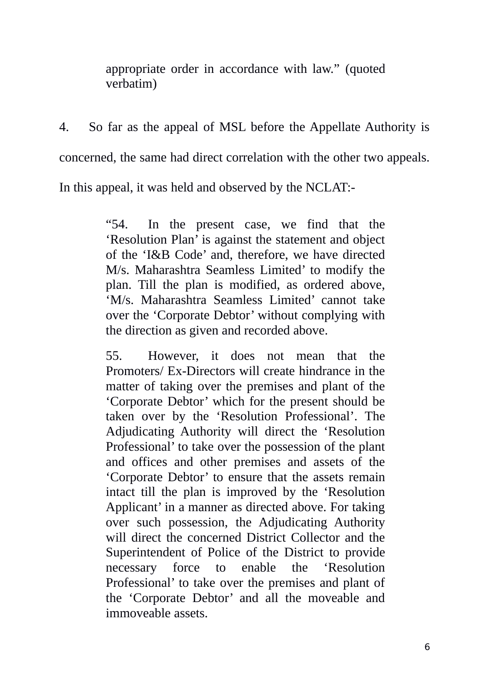appropriate order in accordance with law." (quoted verbatim)

4. So far as the appeal of MSL before the Appellate Authority is concerned, the same had direct correlation with the other two appeals. In this appeal, it was held and observed by the NCLAT:-

> "54. In the present case, we find that the 'Resolution Plan' is against the statement and object of the 'I&B Code' and, therefore, we have directed M/s. Maharashtra Seamless Limited' to modify the plan. Till the plan is modified, as ordered above, 'M/s. Maharashtra Seamless Limited' cannot take over the 'Corporate Debtor' without complying with the direction as given and recorded above.

> 55. However, it does not mean that the Promoters/ Ex-Directors will create hindrance in the matter of taking over the premises and plant of the 'Corporate Debtor' which for the present should be taken over by the 'Resolution Professional'. The Adjudicating Authority will direct the 'Resolution Professional' to take over the possession of the plant and offices and other premises and assets of the 'Corporate Debtor' to ensure that the assets remain intact till the plan is improved by the 'Resolution Applicant' in a manner as directed above. For taking over such possession, the Adjudicating Authority will direct the concerned District Collector and the Superintendent of Police of the District to provide necessary force to enable the 'Resolution Professional' to take over the premises and plant of the 'Corporate Debtor' and all the moveable and immoveable assets.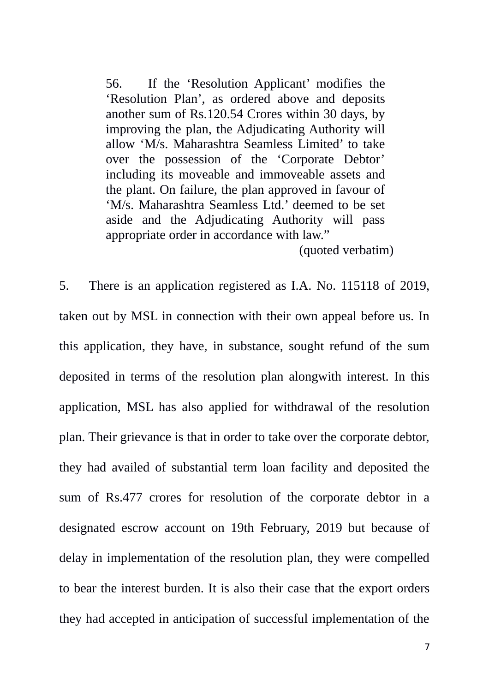56. If the 'Resolution Applicant' modifies the 'Resolution Plan', as ordered above and deposits another sum of Rs.120.54 Crores within 30 days, by improving the plan, the Adjudicating Authority will allow 'M/s. Maharashtra Seamless Limited' to take over the possession of the 'Corporate Debtor' including its moveable and immoveable assets and the plant. On failure, the plan approved in favour of 'M/s. Maharashtra Seamless Ltd.' deemed to be set aside and the Adjudicating Authority will pass appropriate order in accordance with law."

(quoted verbatim)

5. There is an application registered as I.A. No. 115118 of 2019, taken out by MSL in connection with their own appeal before us. In this application, they have, in substance, sought refund of the sum deposited in terms of the resolution plan alongwith interest. In this application, MSL has also applied for withdrawal of the resolution plan. Their grievance is that in order to take over the corporate debtor, they had availed of substantial term loan facility and deposited the sum of Rs.477 crores for resolution of the corporate debtor in a designated escrow account on 19th February, 2019 but because of delay in implementation of the resolution plan, they were compelled to bear the interest burden. It is also their case that the export orders they had accepted in anticipation of successful implementation of the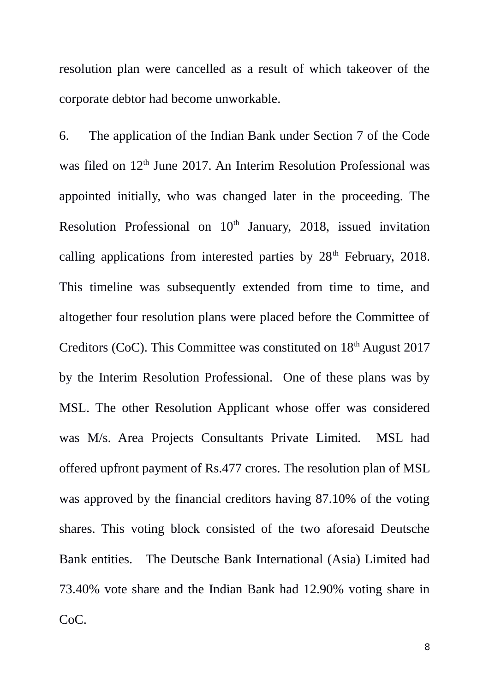resolution plan were cancelled as a result of which takeover of the corporate debtor had become unworkable.

6. The application of the Indian Bank under Section 7 of the Code was filed on 12<sup>th</sup> June 2017. An Interim Resolution Professional was appointed initially, who was changed later in the proceeding. The Resolution Professional on  $10<sup>th</sup>$  January, 2018, issued invitation calling applications from interested parties by  $28<sup>th</sup>$  February, 2018. This timeline was subsequently extended from time to time, and altogether four resolution plans were placed before the Committee of Creditors (CoC). This Committee was constituted on  $18<sup>th</sup>$  August 2017 by the Interim Resolution Professional. One of these plans was by MSL. The other Resolution Applicant whose offer was considered was M/s. Area Projects Consultants Private Limited. MSL had offered upfront payment of Rs.477 crores. The resolution plan of MSL was approved by the financial creditors having 87.10% of the voting shares. This voting block consisted of the two aforesaid Deutsche Bank entities. The Deutsche Bank International (Asia) Limited had 73.40% vote share and the Indian Bank had 12.90% voting share in CoC.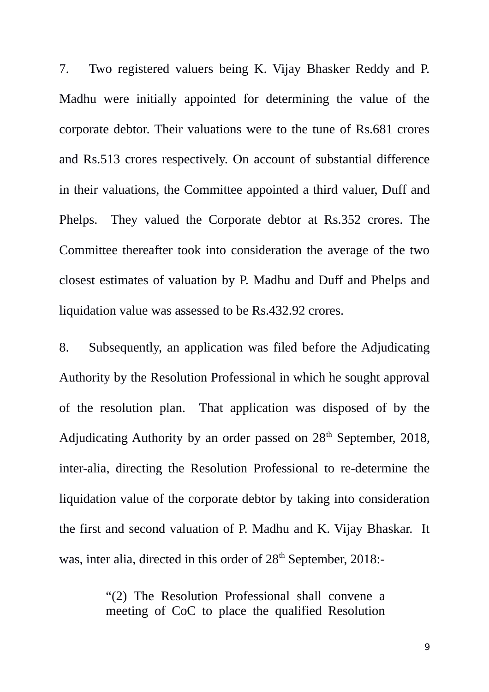7. Two registered valuers being K. Vijay Bhasker Reddy and P. Madhu were initially appointed for determining the value of the corporate debtor. Their valuations were to the tune of Rs.681 crores and Rs.513 crores respectively. On account of substantial difference in their valuations, the Committee appointed a third valuer, Duff and Phelps. They valued the Corporate debtor at Rs.352 crores. The Committee thereafter took into consideration the average of the two closest estimates of valuation by P. Madhu and Duff and Phelps and liquidation value was assessed to be Rs.432.92 crores.

8. Subsequently, an application was filed before the Adjudicating Authority by the Resolution Professional in which he sought approval of the resolution plan. That application was disposed of by the Adjudicating Authority by an order passed on  $28<sup>th</sup>$  September, 2018, inter-alia, directing the Resolution Professional to re-determine the liquidation value of the corporate debtor by taking into consideration the first and second valuation of P. Madhu and K. Vijay Bhaskar. It was, inter alia, directed in this order of  $28<sup>th</sup>$  September, 2018:-

> "(2) The Resolution Professional shall convene a meeting of CoC to place the qualified Resolution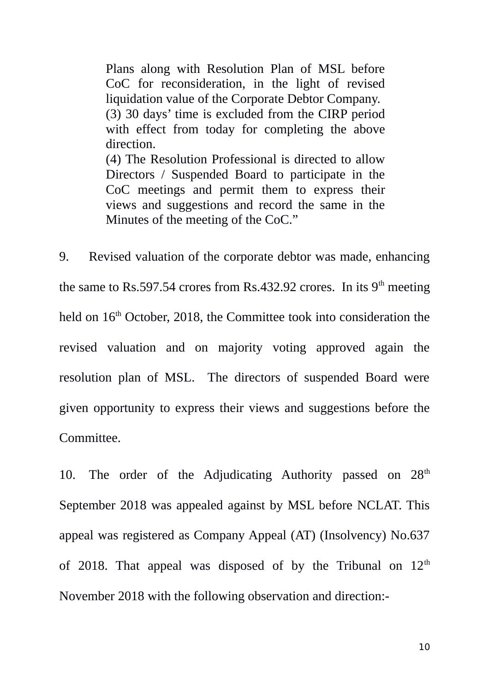Plans along with Resolution Plan of MSL before CoC for reconsideration, in the light of revised liquidation value of the Corporate Debtor Company. (3) 30 days' time is excluded from the CIRP period with effect from today for completing the above direction. (4) The Resolution Professional is directed to allow Directors / Suspended Board to participate in the CoC meetings and permit them to express their views and suggestions and record the same in the Minutes of the meeting of the CoC."

9. Revised valuation of the corporate debtor was made, enhancing the same to Rs.597.54 crores from Rs.432.92 crores. In its  $9<sup>th</sup>$  meeting held on 16<sup>th</sup> October, 2018, the Committee took into consideration the revised valuation and on majority voting approved again the resolution plan of MSL. The directors of suspended Board were given opportunity to express their views and suggestions before the Committee.

10. The order of the Adjudicating Authority passed on  $28<sup>th</sup>$ September 2018 was appealed against by MSL before NCLAT. This appeal was registered as Company Appeal (AT) (Insolvency) No.637 of 2018. That appeal was disposed of by the Tribunal on  $12<sup>th</sup>$ November 2018 with the following observation and direction:-

10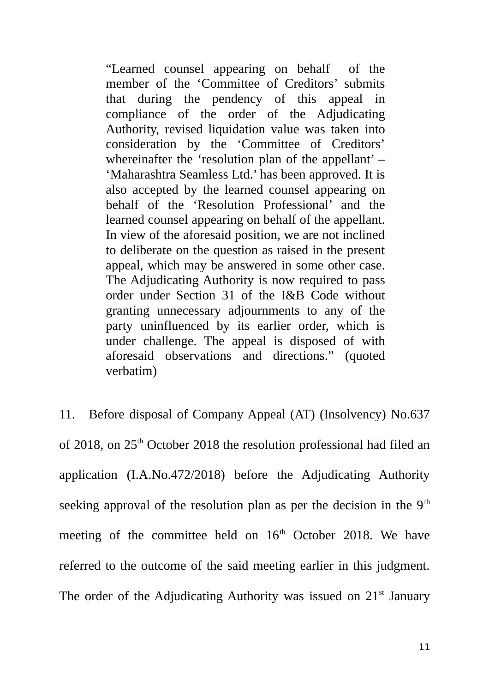"Learned counsel appearing on behalf of the member of the 'Committee of Creditors' submits that during the pendency of this appeal in compliance of the order of the Adjudicating Authority, revised liquidation value was taken into consideration by the 'Committee of Creditors' whereinafter the 'resolution plan of the appellant' – 'Maharashtra Seamless Ltd.' has been approved. It is also accepted by the learned counsel appearing on behalf of the 'Resolution Professional' and the learned counsel appearing on behalf of the appellant. In view of the aforesaid position, we are not inclined to deliberate on the question as raised in the present appeal, which may be answered in some other case. The Adjudicating Authority is now required to pass order under Section 31 of the I&B Code without granting unnecessary adjournments to any of the party uninfluenced by its earlier order, which is under challenge. The appeal is disposed of with aforesaid observations and directions." (quoted verbatim)

11. Before disposal of Company Appeal (AT) (Insolvency) No.637 of 2018, on 25<sup>th</sup> October 2018 the resolution professional had filed an application (I.A.No.472/2018) before the Adjudicating Authority seeking approval of the resolution plan as per the decision in the  $9<sup>th</sup>$ meeting of the committee held on  $16<sup>th</sup>$  October 2018. We have referred to the outcome of the said meeting earlier in this judgment. The order of the Adjudicating Authority was issued on  $21<sup>st</sup>$  January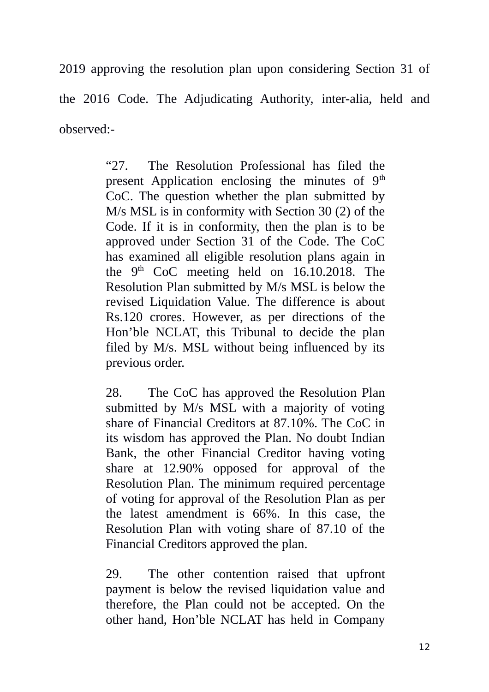2019 approving the resolution plan upon considering Section 31 of the 2016 Code. The Adjudicating Authority, inter-alia, held and observed:-

> "27. The Resolution Professional has filed the present Application enclosing the minutes of  $9<sup>th</sup>$ CoC. The question whether the plan submitted by M/s MSL is in conformity with Section 30 (2) of the Code. If it is in conformity, then the plan is to be approved under Section 31 of the Code. The CoC has examined all eligible resolution plans again in the  $9<sup>th</sup>$  CoC meeting held on 16.10.2018. The Resolution Plan submitted by M/s MSL is below the revised Liquidation Value. The difference is about Rs.120 crores. However, as per directions of the Hon'ble NCLAT, this Tribunal to decide the plan filed by M/s. MSL without being influenced by its previous order.

> 28. The CoC has approved the Resolution Plan submitted by M/s MSL with a majority of voting share of Financial Creditors at 87.10%. The CoC in its wisdom has approved the Plan. No doubt Indian Bank, the other Financial Creditor having voting share at 12.90% opposed for approval of the Resolution Plan. The minimum required percentage of voting for approval of the Resolution Plan as per the latest amendment is 66%. In this case, the Resolution Plan with voting share of 87.10 of the Financial Creditors approved the plan.

> 29. The other contention raised that upfront payment is below the revised liquidation value and therefore, the Plan could not be accepted. On the other hand, Hon'ble NCLAT has held in Company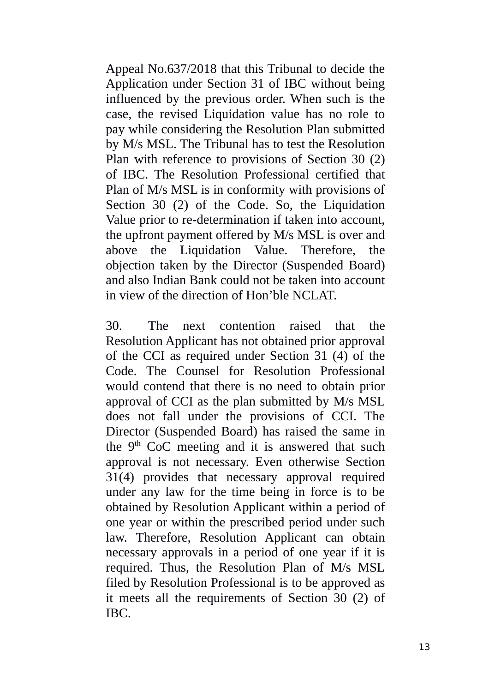Appeal No.637/2018 that this Tribunal to decide the Application under Section 31 of IBC without being influenced by the previous order. When such is the case, the revised Liquidation value has no role to pay while considering the Resolution Plan submitted by M/s MSL. The Tribunal has to test the Resolution Plan with reference to provisions of Section 30 (2) of IBC. The Resolution Professional certified that Plan of M/s MSL is in conformity with provisions of Section 30 (2) of the Code. So, the Liquidation Value prior to re-determination if taken into account, the upfront payment offered by M/s MSL is over and above the Liquidation Value. Therefore, the objection taken by the Director (Suspended Board) and also Indian Bank could not be taken into account in view of the direction of Hon'ble NCLAT.

30. The next contention raised that the Resolution Applicant has not obtained prior approval of the CCI as required under Section 31 (4) of the Code. The Counsel for Resolution Professional would contend that there is no need to obtain prior approval of CCI as the plan submitted by M/s MSL does not fall under the provisions of CCI. The Director (Suspended Board) has raised the same in the  $9<sup>th</sup>$  CoC meeting and it is answered that such approval is not necessary. Even otherwise Section 31(4) provides that necessary approval required under any law for the time being in force is to be obtained by Resolution Applicant within a period of one year or within the prescribed period under such law. Therefore, Resolution Applicant can obtain necessary approvals in a period of one year if it is required. Thus, the Resolution Plan of M/s MSL filed by Resolution Professional is to be approved as it meets all the requirements of Section 30 (2) of IBC.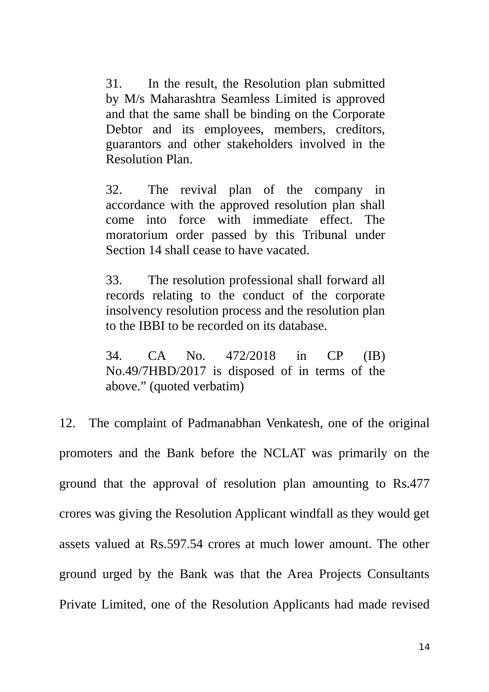31. In the result, the Resolution plan submitted by M/s Maharashtra Seamless Limited is approved and that the same shall be binding on the Corporate Debtor and its employees, members, creditors, guarantors and other stakeholders involved in the Resolution Plan.

32. The revival plan of the company in accordance with the approved resolution plan shall come into force with immediate effect. The moratorium order passed by this Tribunal under Section 14 shall cease to have vacated.

33. The resolution professional shall forward all records relating to the conduct of the corporate insolvency resolution process and the resolution plan to the IBBI to be recorded on its database.

34. CA No. 472/2018 in CP (IB) No.49/7HBD/2017 is disposed of in terms of the above." (quoted verbatim)

12. The complaint of Padmanabhan Venkatesh, one of the original promoters and the Bank before the NCLAT was primarily on the ground that the approval of resolution plan amounting to Rs.477 crores was giving the Resolution Applicant windfall as they would get assets valued at Rs.597.54 crores at much lower amount. The other ground urged by the Bank was that the Area Projects Consultants Private Limited, one of the Resolution Applicants had made revised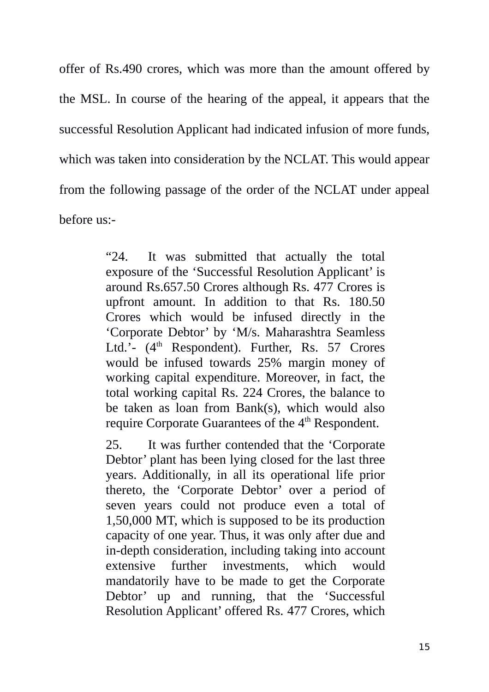offer of Rs.490 crores, which was more than the amount offered by the MSL. In course of the hearing of the appeal, it appears that the successful Resolution Applicant had indicated infusion of more funds, which was taken into consideration by the NCLAT. This would appear from the following passage of the order of the NCLAT under appeal before us:-

> "24. It was submitted that actually the total exposure of the 'Successful Resolution Applicant' is around Rs.657.50 Crores although Rs. 477 Crores is upfront amount. In addition to that Rs. 180.50 Crores which would be infused directly in the 'Corporate Debtor' by 'M/s. Maharashtra Seamless Ltd.'-  $(4<sup>th</sup>$  Respondent). Further, Rs. 57 Crores would be infused towards 25% margin money of working capital expenditure. Moreover, in fact, the total working capital Rs. 224 Crores, the balance to be taken as loan from Bank(s), which would also require Corporate Guarantees of the 4<sup>th</sup> Respondent.

> 25. It was further contended that the 'Corporate Debtor' plant has been lying closed for the last three years. Additionally, in all its operational life prior thereto, the 'Corporate Debtor' over a period of seven years could not produce even a total of 1,50,000 MT, which is supposed to be its production capacity of one year. Thus, it was only after due and in-depth consideration, including taking into account extensive further investments, which would mandatorily have to be made to get the Corporate Debtor' up and running, that the 'Successful Resolution Applicant' offered Rs. 477 Crores, which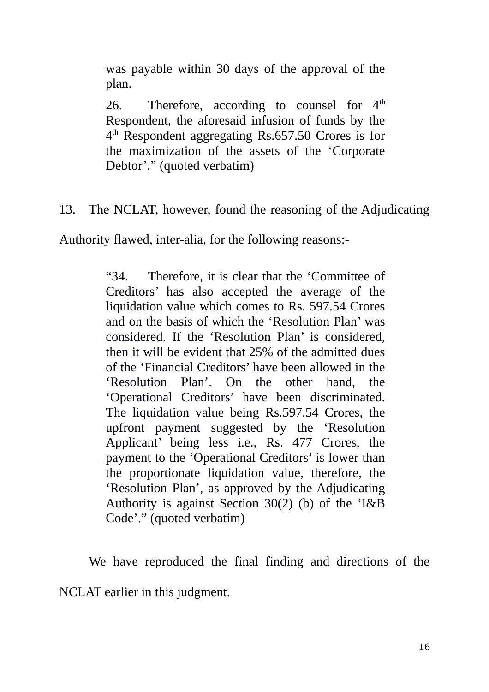was payable within 30 days of the approval of the plan.

26. Therefore, according to counsel for  $4<sup>th</sup>$ Respondent, the aforesaid infusion of funds by the 4<sup>th</sup> Respondent aggregating Rs.657.50 Crores is for the maximization of the assets of the 'Corporate Debtor'." (quoted verbatim)

13. The NCLAT, however, found the reasoning of the Adjudicating

Authority flawed, inter-alia, for the following reasons:-

"34. Therefore, it is clear that the 'Committee of Creditors' has also accepted the average of the liquidation value which comes to Rs. 597.54 Crores and on the basis of which the 'Resolution Plan' was considered. If the 'Resolution Plan' is considered, then it will be evident that 25% of the admitted dues of the 'Financial Creditors' have been allowed in the 'Resolution Plan'. On the other hand, the 'Operational Creditors' have been discriminated. The liquidation value being Rs.597.54 Crores, the upfront payment suggested by the 'Resolution Applicant' being less i.e., Rs. 477 Crores, the payment to the 'Operational Creditors' is lower than the proportionate liquidation value, therefore, the 'Resolution Plan', as approved by the Adjudicating Authority is against Section 30(2) (b) of the 'I&B Code'." (quoted verbatim)

We have reproduced the final finding and directions of the

NCLAT earlier in this judgment.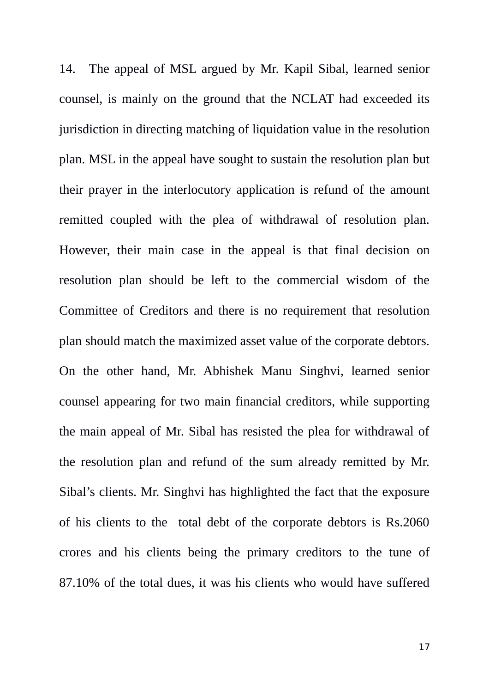14. The appeal of MSL argued by Mr. Kapil Sibal, learned senior counsel, is mainly on the ground that the NCLAT had exceeded its jurisdiction in directing matching of liquidation value in the resolution plan. MSL in the appeal have sought to sustain the resolution plan but their prayer in the interlocutory application is refund of the amount remitted coupled with the plea of withdrawal of resolution plan. However, their main case in the appeal is that final decision on resolution plan should be left to the commercial wisdom of the Committee of Creditors and there is no requirement that resolution plan should match the maximized asset value of the corporate debtors. On the other hand, Mr. Abhishek Manu Singhvi, learned senior counsel appearing for two main financial creditors, while supporting the main appeal of Mr. Sibal has resisted the plea for withdrawal of the resolution plan and refund of the sum already remitted by Mr. Sibal's clients. Mr. Singhvi has highlighted the fact that the exposure of his clients to the total debt of the corporate debtors is Rs.2060 crores and his clients being the primary creditors to the tune of 87.10% of the total dues, it was his clients who would have suffered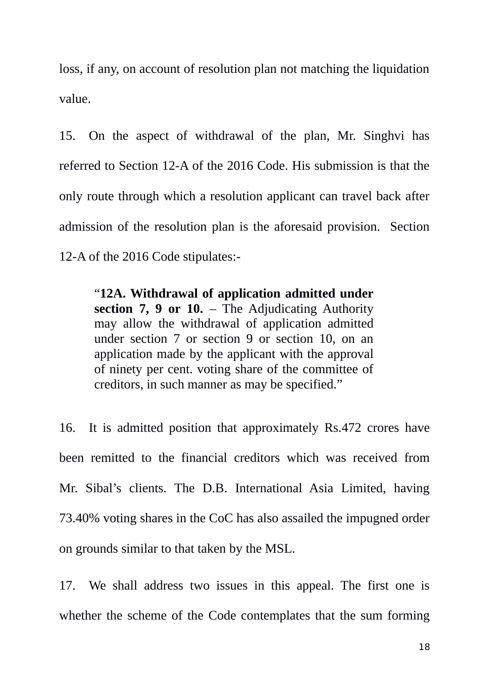loss, if any, on account of resolution plan not matching the liquidation value.

15. On the aspect of withdrawal of the plan, Mr. Singhvi has referred to Section 12-A of the 2016 Code. His submission is that the only route through which a resolution applicant can travel back after admission of the resolution plan is the aforesaid provision. Section 12-A of the 2016 Code stipulates:-

"**12A. Withdrawal of application admitted under section 7, 9 or 10.** – The Adjudicating Authority may allow the withdrawal of application admitted under section 7 or section 9 or section 10, on an application made by the applicant with the approval of ninety per cent. voting share of the committee of creditors, in such manner as may be specified."

16. It is admitted position that approximately Rs.472 crores have been remitted to the financial creditors which was received from Mr. Sibal's clients. The D.B. International Asia Limited, having 73.40% voting shares in the CoC has also assailed the impugned order on grounds similar to that taken by the MSL.

17. We shall address two issues in this appeal. The first one is whether the scheme of the Code contemplates that the sum forming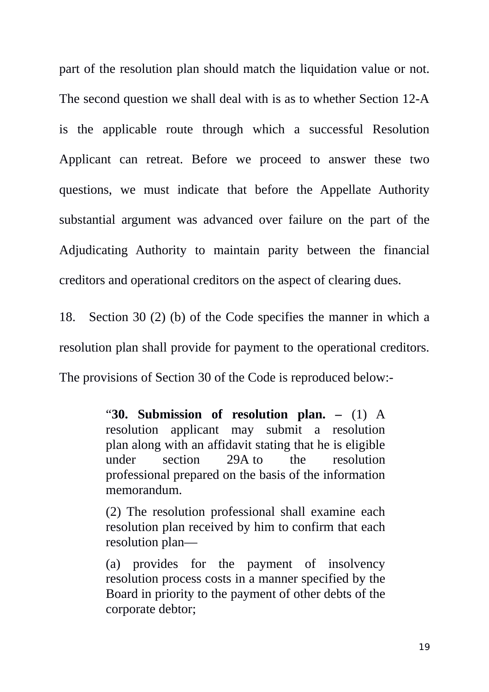part of the resolution plan should match the liquidation value or not. The second question we shall deal with is as to whether Section 12-A is the applicable route through which a successful Resolution Applicant can retreat. Before we proceed to answer these two questions, we must indicate that before the Appellate Authority substantial argument was advanced over failure on the part of the Adjudicating Authority to maintain parity between the financial creditors and operational creditors on the aspect of clearing dues.

18. Section 30 (2) (b) of the Code specifies the manner in which a resolution plan shall provide for payment to the operational creditors. The provisions of Section 30 of the Code is reproduced below:-

> "**30. Submission of resolution plan. –** (1) A resolution applicant may submit a resolution plan along with an affidavit stating that he is eligible under section 29A to the resolution professional prepared on the basis of the information memorandum.

> (2) The resolution professional shall examine each resolution plan received by him to confirm that each resolution plan—

> (a) provides for the payment of insolvency resolution process costs in a manner specified by the Board in priority to the payment of other debts of the corporate debtor;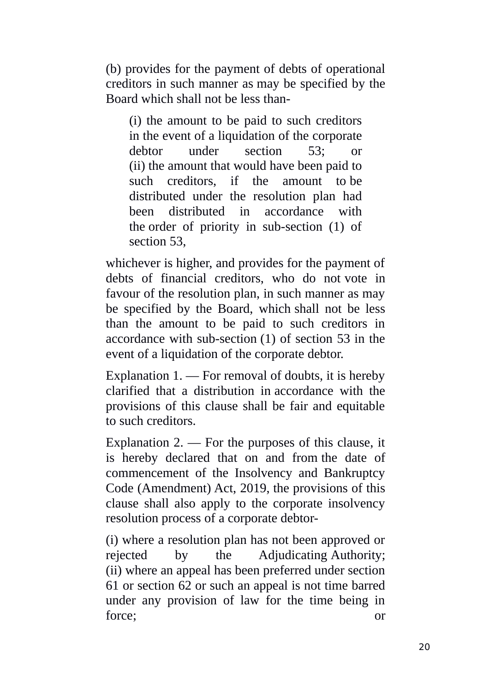(b) provides for the payment of debts of operational creditors in such manner as may be specified by the Board which shall not be less than-

(i) the amount to be paid to such creditors in the event of a liquidation of the corporate debtor under section 53; or (ii) the amount that would have been paid to such creditors, if the amount to be distributed under the resolution plan had been distributed in accordance with the order of priority in sub-section (1) of section 53,

whichever is higher, and provides for the payment of debts of financial creditors, who do not vote in favour of the resolution plan, in such manner as may be specified by the Board, which shall not be less than the amount to be paid to such creditors in accordance with sub-section (1) of section 53 in the event of a liquidation of the corporate debtor.

Explanation 1. — For removal of doubts, it is hereby clarified that a distribution in accordance with the provisions of this clause shall be fair and equitable to such creditors.

Explanation 2. — For the purposes of this clause, it is hereby declared that on and from the date of commencement of the Insolvency and Bankruptcy Code (Amendment) Act, 2019, the provisions of this clause shall also apply to the corporate insolvency resolution process of a corporate debtor-

(i) where a resolution plan has not been approved or rejected by the Adjudicating Authority; (ii) where an appeal has been preferred under section 61 or section 62 or such an appeal is not time barred under any provision of law for the time being in force; the contract of the contract of the contract of the contract of the contract of the contract of the contract of the contract of the contract of the contract of the contract of the contract of the contract of the con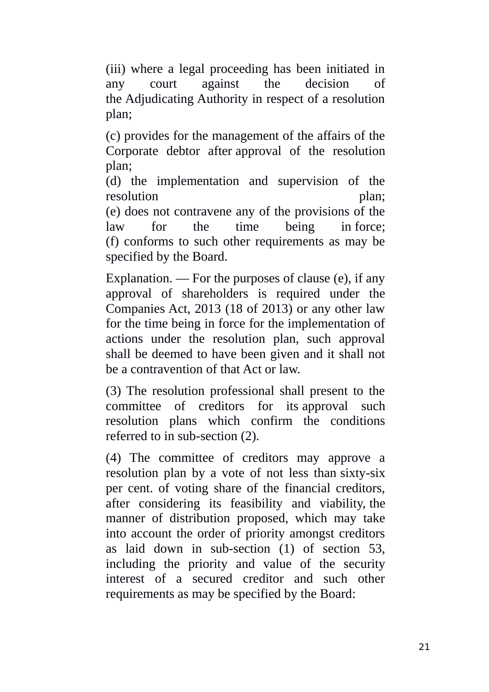(iii) where a legal proceeding has been initiated in any court against the decision of the Adjudicating Authority in respect of a resolution plan;

(c) provides for the management of the affairs of the Corporate debtor after approval of the resolution plan;

(d) the implementation and supervision of the resolution **plan**; **plan**; **plan**;

(e) does not contravene any of the provisions of the law for the time being in force; (f) conforms to such other requirements as may be specified by the Board.

Explanation. — For the purposes of clause (e), if any approval of shareholders is required under the Companies Act, 2013 (18 of 2013) or any other law for the time being in force for the implementation of actions under the resolution plan, such approval shall be deemed to have been given and it shall not be a contravention of that Act or law.

(3) The resolution professional shall present to the committee of creditors for its approval such resolution plans which confirm the conditions referred to in sub-section (2).

(4) The committee of creditors may approve a resolution plan by a vote of not less than sixty-six per cent. of voting share of the financial creditors, after considering its feasibility and viability, the manner of distribution proposed, which may take into account the order of priority amongst creditors as laid down in sub-section (1) of section 53, including the priority and value of the security interest of a secured creditor and such other requirements as may be specified by the Board: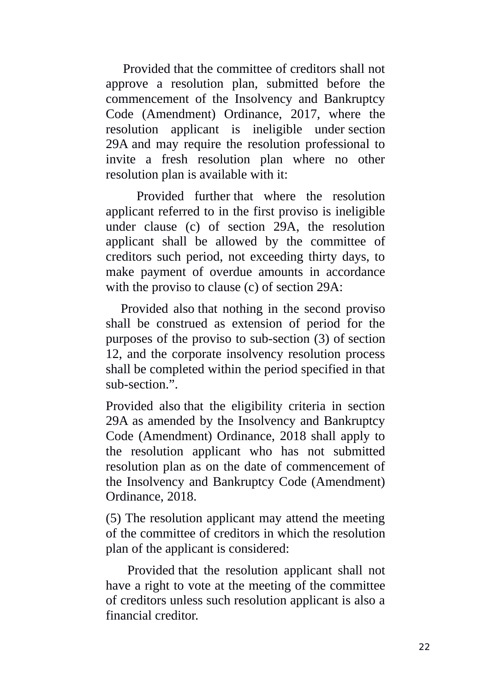Provided that the committee of creditors shall not approve a resolution plan, submitted before the commencement of the Insolvency and Bankruptcy Code (Amendment) Ordinance, 2017, where the resolution applicant is ineligible under section 29A and may require the resolution professional to invite a fresh resolution plan where no other resolution plan is available with it:

Provided further that where the resolution applicant referred to in the first proviso is ineligible under clause (c) of section 29A, the resolution applicant shall be allowed by the committee of creditors such period, not exceeding thirty days, to make payment of overdue amounts in accordance with the proviso to clause (c) of section 29A:

Provided also that nothing in the second proviso shall be construed as extension of period for the purposes of the proviso to sub-section (3) of section 12, and the corporate insolvency resolution process shall be completed within the period specified in that sub-section.".

Provided also that the eligibility criteria in section 29A as amended by the Insolvency and Bankruptcy Code (Amendment) Ordinance, 2018 shall apply to the resolution applicant who has not submitted resolution plan as on the date of commencement of the Insolvency and Bankruptcy Code (Amendment) Ordinance, 2018.

(5) The resolution applicant may attend the meeting of the committee of creditors in which the resolution plan of the applicant is considered:

Provided that the resolution applicant shall not have a right to vote at the meeting of the committee of creditors unless such resolution applicant is also a financial creditor.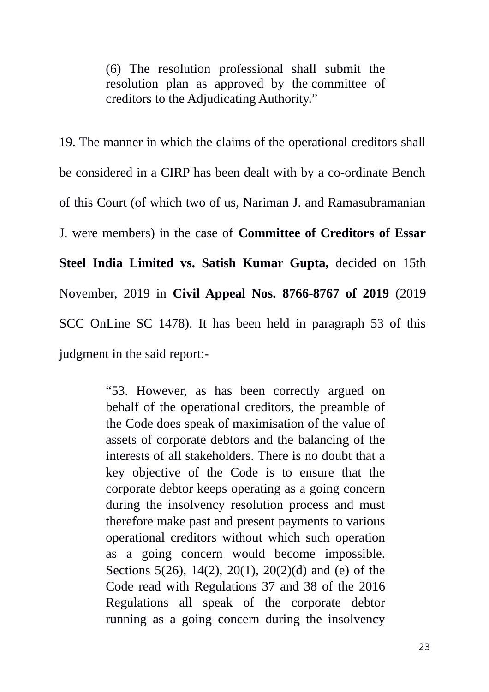(6) The resolution professional shall submit the resolution plan as approved by the committee of creditors to the Adjudicating Authority."

19. The manner in which the claims of the operational creditors shall be considered in a CIRP has been dealt with by a co-ordinate Bench of this Court (of which two of us, Nariman J. and Ramasubramanian J. were members) in the case of **Committee of Creditors of Essar Steel India Limited vs. Satish Kumar Gupta,** decided on 15th November, 2019 in **Civil Appeal Nos. 8766-8767 of 2019** (2019 SCC OnLine SC 1478). It has been held in paragraph 53 of this judgment in the said report:-

> "53. However, as has been correctly argued on behalf of the operational creditors, the preamble of the Code does speak of maximisation of the value of assets of corporate debtors and the balancing of the interests of all stakeholders. There is no doubt that a key objective of the Code is to ensure that the corporate debtor keeps operating as a going concern during the insolvency resolution process and must therefore make past and present payments to various operational creditors without which such operation as a going concern would become impossible. Sections 5(26), 14(2), 20(1), 20(2)(d) and (e) of the Code read with Regulations 37 and 38 of the 2016 Regulations all speak of the corporate debtor running as a going concern during the insolvency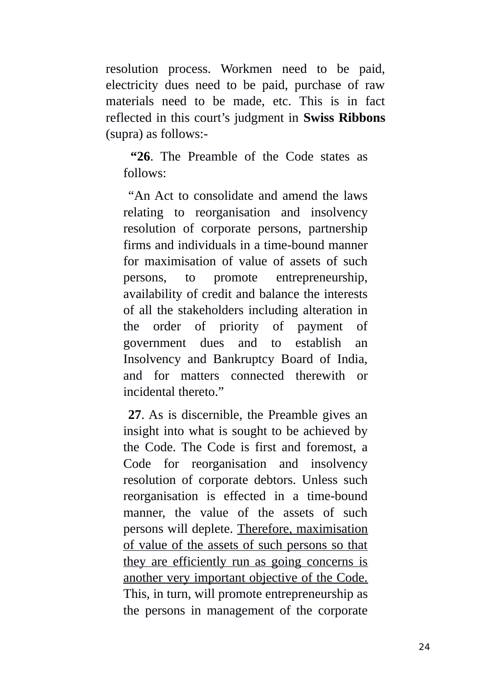resolution process. Workmen need to be paid, electricity dues need to be paid, purchase of raw materials need to be made, etc. This is in fact reflected in this court's judgment in **Swiss Ribbons** (supra) as follows:-

**"26**. The Preamble of the Code states as follows:

 "An Act to consolidate and amend the laws relating to reorganisation and insolvency resolution of corporate persons, partnership firms and individuals in a time-bound manner for maximisation of value of assets of such persons, to promote entrepreneurship, availability of credit and balance the interests of all the stakeholders including alteration in the order of priority of payment of government dues and to establish an Insolvency and Bankruptcy Board of India, and for matters connected therewith or incidental thereto."

 **27**. As is discernible, the Preamble gives an insight into what is sought to be achieved by the Code. The Code is first and foremost, a Code for reorganisation and insolvency resolution of corporate debtors. Unless such reorganisation is effected in a time-bound manner, the value of the assets of such persons will deplete. Therefore, maximisation of value of the assets of such persons so that they are efficiently run as going concerns is another very important objective of the Code. This, in turn, will promote entrepreneurship as the persons in management of the corporate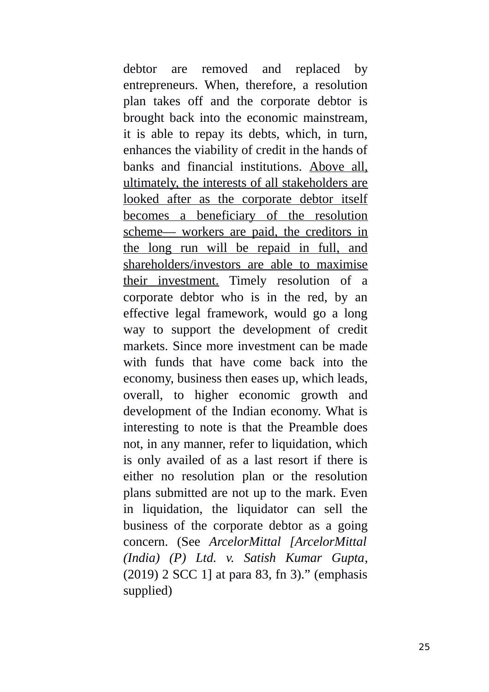debtor are removed and replaced by entrepreneurs. When, therefore, a resolution plan takes off and the corporate debtor is brought back into the economic mainstream, it is able to repay its debts, which, in turn, enhances the viability of credit in the hands of banks and financial institutions. Above all, ultimately, the interests of all stakeholders are looked after as the corporate debtor itself becomes a beneficiary of the resolution scheme— workers are paid, the creditors in the long run will be repaid in full, and shareholders/investors are able to maximise their investment. Timely resolution of a corporate debtor who is in the red, by an effective legal framework, would go a long way to support the development of credit markets. Since more investment can be made with funds that have come back into the economy, business then eases up, which leads, overall, to higher economic growth and development of the Indian economy. What is interesting to note is that the Preamble does not, in any manner, refer to liquidation, which is only availed of as a last resort if there is either no resolution plan or the resolution plans submitted are not up to the mark. Even in liquidation, the liquidator can sell the business of the corporate debtor as a going concern. (See *ArcelorMittal [ArcelorMittal (India) (P) Ltd. v. Satish Kumar Gupta*, (2019) 2 SCC 1] at para 83, fn 3)." (emphasis supplied)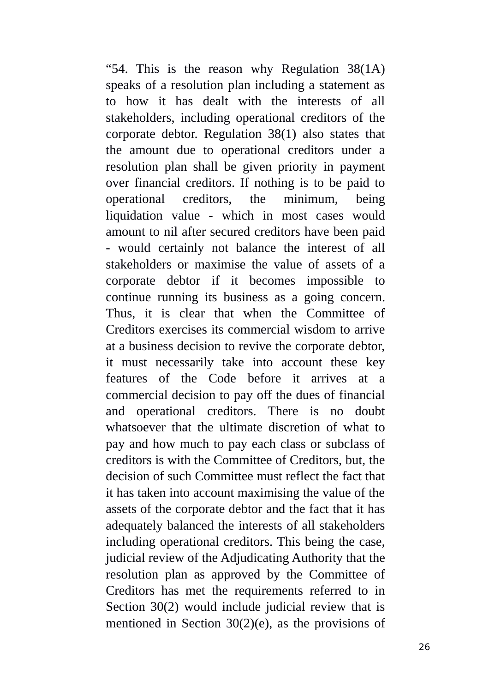"54. This is the reason why Regulation 38(1A) speaks of a resolution plan including a statement as to how it has dealt with the interests of all stakeholders, including operational creditors of the corporate debtor. Regulation 38(1) also states that the amount due to operational creditors under a resolution plan shall be given priority in payment over financial creditors. If nothing is to be paid to operational creditors, the minimum, being liquidation value - which in most cases would amount to nil after secured creditors have been paid - would certainly not balance the interest of all stakeholders or maximise the value of assets of a corporate debtor if it becomes impossible to continue running its business as a going concern. Thus, it is clear that when the Committee of Creditors exercises its commercial wisdom to arrive at a business decision to revive the corporate debtor, it must necessarily take into account these key features of the Code before it arrives at a commercial decision to pay off the dues of financial and operational creditors. There is no doubt whatsoever that the ultimate discretion of what to pay and how much to pay each class or subclass of creditors is with the Committee of Creditors, but, the decision of such Committee must reflect the fact that it has taken into account maximising the value of the assets of the corporate debtor and the fact that it has adequately balanced the interests of all stakeholders including operational creditors. This being the case, judicial review of the Adjudicating Authority that the resolution plan as approved by the Committee of Creditors has met the requirements referred to in Section 30(2) would include judicial review that is mentioned in Section 30(2)(e), as the provisions of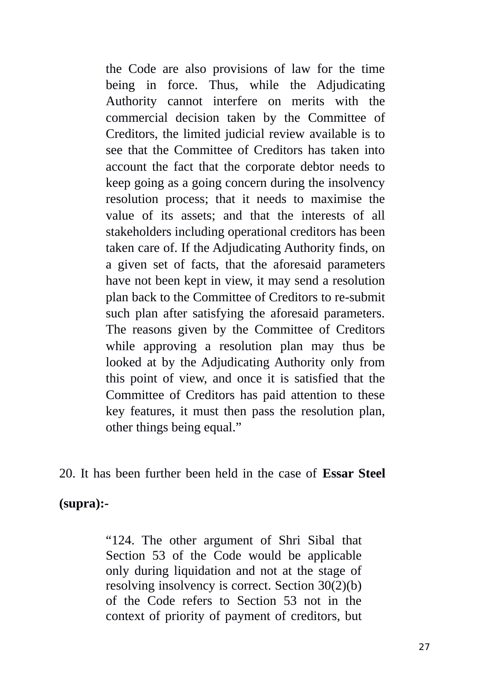the Code are also provisions of law for the time being in force. Thus, while the Adjudicating Authority cannot interfere on merits with the commercial decision taken by the Committee of Creditors, the limited judicial review available is to see that the Committee of Creditors has taken into account the fact that the corporate debtor needs to keep going as a going concern during the insolvency resolution process; that it needs to maximise the value of its assets; and that the interests of all stakeholders including operational creditors has been taken care of. If the Adjudicating Authority finds, on a given set of facts, that the aforesaid parameters have not been kept in view, it may send a resolution plan back to the Committee of Creditors to re-submit such plan after satisfying the aforesaid parameters. The reasons given by the Committee of Creditors while approving a resolution plan may thus be looked at by the Adjudicating Authority only from this point of view, and once it is satisfied that the Committee of Creditors has paid attention to these key features, it must then pass the resolution plan, other things being equal."

## 20. It has been further been held in the case of **Essar Steel**

**(supra):-**

"124. The other argument of Shri Sibal that Section 53 of the Code would be applicable only during liquidation and not at the stage of resolving insolvency is correct. Section 30(2)(b) of the Code refers to Section 53 not in the context of priority of payment of creditors, but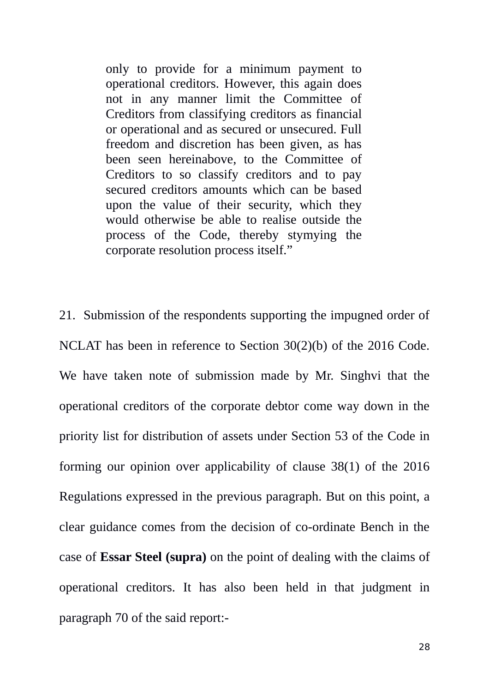only to provide for a minimum payment to operational creditors. However, this again does not in any manner limit the Committee of Creditors from classifying creditors as financial or operational and as secured or unsecured. Full freedom and discretion has been given, as has been seen hereinabove, to the Committee of Creditors to so classify creditors and to pay secured creditors amounts which can be based upon the value of their security, which they would otherwise be able to realise outside the process of the Code, thereby stymying the corporate resolution process itself."

21. Submission of the respondents supporting the impugned order of NCLAT has been in reference to Section 30(2)(b) of the 2016 Code. We have taken note of submission made by Mr. Singhvi that the operational creditors of the corporate debtor come way down in the priority list for distribution of assets under Section 53 of the Code in forming our opinion over applicability of clause 38(1) of the 2016 Regulations expressed in the previous paragraph. But on this point, a clear guidance comes from the decision of co-ordinate Bench in the case of **Essar Steel (supra)** on the point of dealing with the claims of operational creditors. It has also been held in that judgment in paragraph 70 of the said report:-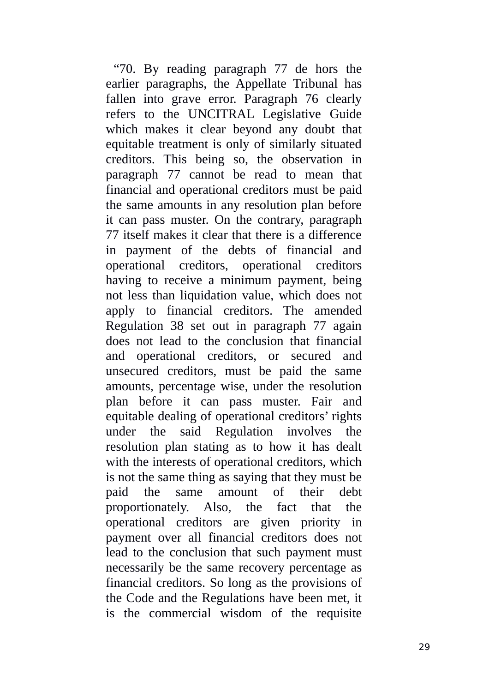"70. By reading paragraph 77 de hors the earlier paragraphs, the Appellate Tribunal has fallen into grave error. Paragraph 76 clearly refers to the UNCITRAL Legislative Guide which makes it clear beyond any doubt that equitable treatment is only of similarly situated creditors. This being so, the observation in paragraph 77 cannot be read to mean that financial and operational creditors must be paid the same amounts in any resolution plan before it can pass muster. On the contrary, paragraph 77 itself makes it clear that there is a difference in payment of the debts of financial and operational creditors, operational creditors having to receive a minimum payment, being not less than liquidation value, which does not apply to financial creditors. The amended Regulation 38 set out in paragraph 77 again does not lead to the conclusion that financial and operational creditors, or secured and unsecured creditors, must be paid the same amounts, percentage wise, under the resolution plan before it can pass muster. Fair and equitable dealing of operational creditors' rights under the said Regulation involves the resolution plan stating as to how it has dealt with the interests of operational creditors, which is not the same thing as saying that they must be paid the same amount of their debt proportionately. Also, the fact that the operational creditors are given priority in payment over all financial creditors does not lead to the conclusion that such payment must necessarily be the same recovery percentage as financial creditors. So long as the provisions of the Code and the Regulations have been met, it is the commercial wisdom of the requisite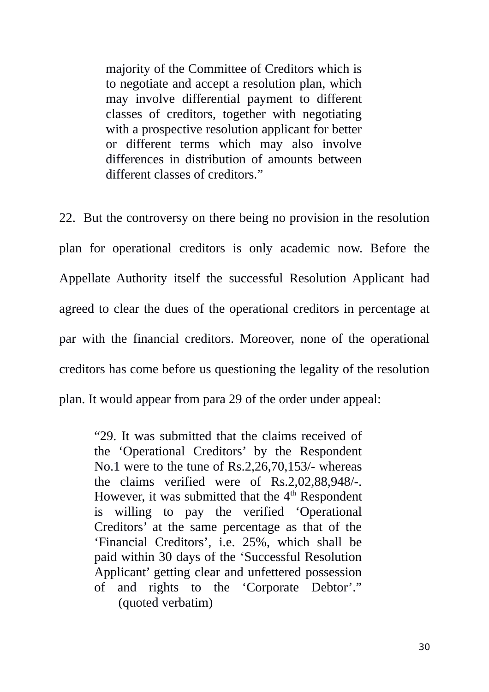majority of the Committee of Creditors which is to negotiate and accept a resolution plan, which may involve differential payment to different classes of creditors, together with negotiating with a prospective resolution applicant for better or different terms which may also involve differences in distribution of amounts between different classes of creditors."

22. But the controversy on there being no provision in the resolution plan for operational creditors is only academic now. Before the Appellate Authority itself the successful Resolution Applicant had agreed to clear the dues of the operational creditors in percentage at par with the financial creditors. Moreover, none of the operational creditors has come before us questioning the legality of the resolution plan. It would appear from para 29 of the order under appeal:

"29. It was submitted that the claims received of the 'Operational Creditors' by the Respondent No.1 were to the tune of Rs.2,26,70,153/- whereas the claims verified were of Rs.2,02,88,948/-. However, it was submitted that the  $4<sup>th</sup>$  Respondent is willing to pay the verified 'Operational Creditors' at the same percentage as that of the 'Financial Creditors', i.e. 25%, which shall be paid within 30 days of the 'Successful Resolution Applicant' getting clear and unfettered possession of and rights to the 'Corporate Debtor'." (quoted verbatim)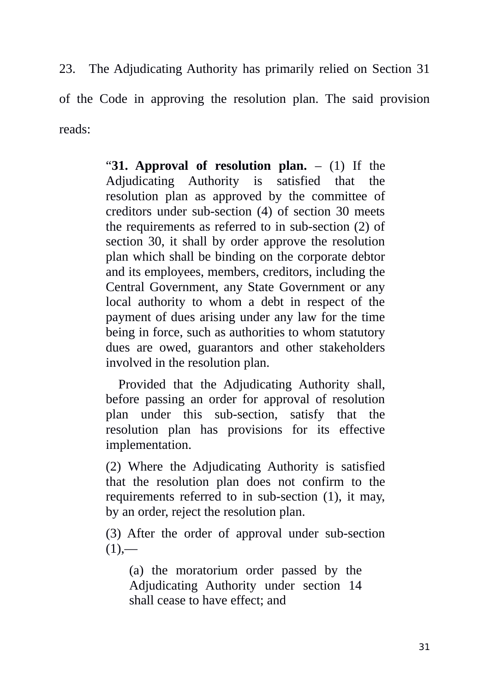23. The Adjudicating Authority has primarily relied on Section 31 of the Code in approving the resolution plan. The said provision reads:

> "**31. Approval of resolution plan.** – (1) If the Adjudicating Authority is satisfied that the resolution plan as approved by the committee of creditors under sub-section (4) of section 30 meets the requirements as referred to in sub-section (2) of section 30, it shall by order approve the resolution plan which shall be binding on the corporate debtor and its employees, members, creditors, including the Central Government, any State Government or any local authority to whom a debt in respect of the payment of dues arising under any law for the time being in force, such as authorities to whom statutory dues are owed, guarantors and other stakeholders involved in the resolution plan.

> Provided that the Adjudicating Authority shall, before passing an order for approval of resolution plan under this sub-section, satisfy that the resolution plan has provisions for its effective implementation.

> (2) Where the Adjudicating Authority is satisfied that the resolution plan does not confirm to the requirements referred to in sub-section (1), it may, by an order, reject the resolution plan.

> (3) After the order of approval under sub-section  $(1)$ ,—

(a) the moratorium order passed by the Adjudicating Authority under section 14 shall cease to have effect; and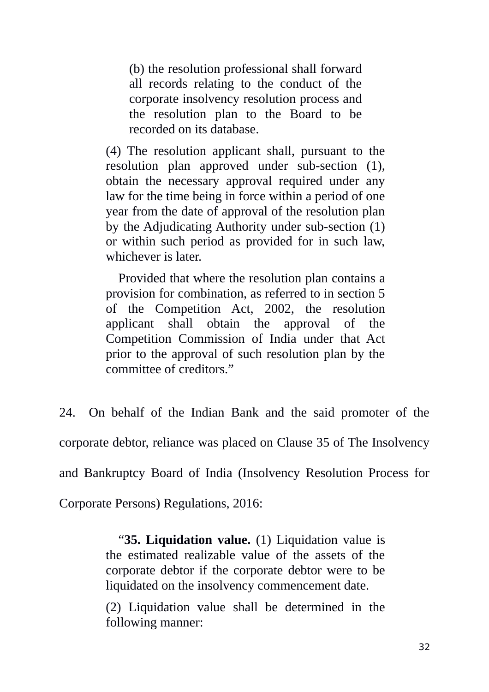(b) the resolution professional shall forward all records relating to the conduct of the corporate insolvency resolution process and the resolution plan to the Board to be recorded on its database.

(4) The resolution applicant shall, pursuant to the resolution plan approved under sub-section (1), obtain the necessary approval required under any law for the time being in force within a period of one year from the date of approval of the resolution plan by the Adjudicating Authority under sub-section (1) or within such period as provided for in such law, whichever is later.

Provided that where the resolution plan contains a provision for combination, as referred to in section 5 of the Competition Act, 2002, the resolution applicant shall obtain the approval of the Competition Commission of India under that Act prior to the approval of such resolution plan by the committee of creditors."

24. On behalf of the Indian Bank and the said promoter of the corporate debtor, reliance was placed on Clause 35 of The Insolvency and Bankruptcy Board of India (Insolvency Resolution Process for Corporate Persons) Regulations, 2016:

> "**35. Liquidation value.** (1) Liquidation value is the estimated realizable value of the assets of the corporate debtor if the corporate debtor were to be liquidated on the insolvency commencement date.

> (2) Liquidation value shall be determined in the following manner: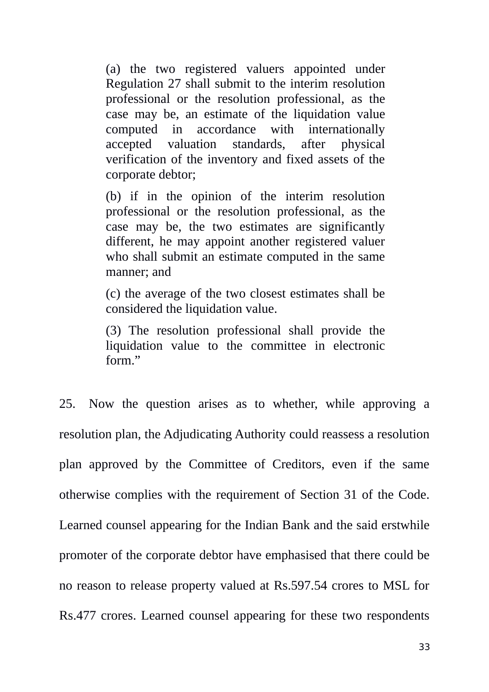(a) the two registered valuers appointed under Regulation 27 shall submit to the interim resolution professional or the resolution professional, as the case may be, an estimate of the liquidation value computed in accordance with internationally accepted valuation standards, after physical verification of the inventory and fixed assets of the corporate debtor;

(b) if in the opinion of the interim resolution professional or the resolution professional, as the case may be, the two estimates are significantly different, he may appoint another registered valuer who shall submit an estimate computed in the same manner; and

(c) the average of the two closest estimates shall be considered the liquidation value.

(3) The resolution professional shall provide the liquidation value to the committee in electronic form."

25. Now the question arises as to whether, while approving a resolution plan, the Adjudicating Authority could reassess a resolution plan approved by the Committee of Creditors, even if the same otherwise complies with the requirement of Section 31 of the Code. Learned counsel appearing for the Indian Bank and the said erstwhile promoter of the corporate debtor have emphasised that there could be no reason to release property valued at Rs.597.54 crores to MSL for Rs.477 crores. Learned counsel appearing for these two respondents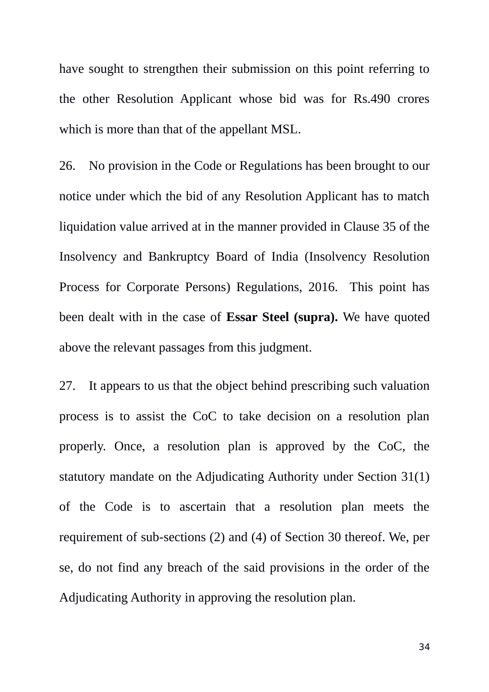have sought to strengthen their submission on this point referring to the other Resolution Applicant whose bid was for Rs.490 crores which is more than that of the appellant MSL.

26. No provision in the Code or Regulations has been brought to our notice under which the bid of any Resolution Applicant has to match liquidation value arrived at in the manner provided in Clause 35 of the Insolvency and Bankruptcy Board of India (Insolvency Resolution Process for Corporate Persons) Regulations, 2016. This point has been dealt with in the case of **Essar Steel (supra).** We have quoted above the relevant passages from this judgment.

27. It appears to us that the object behind prescribing such valuation process is to assist the CoC to take decision on a resolution plan properly. Once, a resolution plan is approved by the CoC, the statutory mandate on the Adjudicating Authority under Section 31(1) of the Code is to ascertain that a resolution plan meets the requirement of sub-sections (2) and (4) of Section 30 thereof. We, per se, do not find any breach of the said provisions in the order of the Adjudicating Authority in approving the resolution plan.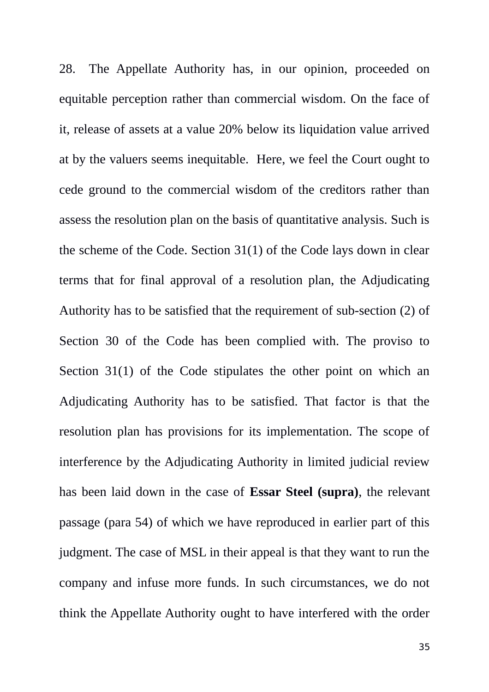28. The Appellate Authority has, in our opinion, proceeded on equitable perception rather than commercial wisdom. On the face of it, release of assets at a value 20% below its liquidation value arrived at by the valuers seems inequitable. Here, we feel the Court ought to cede ground to the commercial wisdom of the creditors rather than assess the resolution plan on the basis of quantitative analysis. Such is the scheme of the Code. Section 31(1) of the Code lays down in clear terms that for final approval of a resolution plan, the Adjudicating Authority has to be satisfied that the requirement of sub-section (2) of Section 30 of the Code has been complied with. The proviso to Section 31(1) of the Code stipulates the other point on which an Adjudicating Authority has to be satisfied. That factor is that the resolution plan has provisions for its implementation. The scope of interference by the Adjudicating Authority in limited judicial review has been laid down in the case of **Essar Steel (supra)**, the relevant passage (para 54) of which we have reproduced in earlier part of this judgment. The case of MSL in their appeal is that they want to run the company and infuse more funds. In such circumstances, we do not think the Appellate Authority ought to have interfered with the order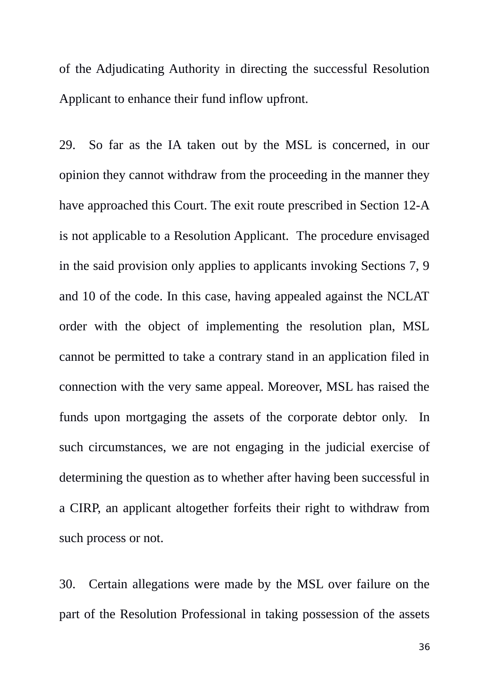of the Adjudicating Authority in directing the successful Resolution Applicant to enhance their fund inflow upfront.

29. So far as the IA taken out by the MSL is concerned, in our opinion they cannot withdraw from the proceeding in the manner they have approached this Court. The exit route prescribed in Section 12-A is not applicable to a Resolution Applicant. The procedure envisaged in the said provision only applies to applicants invoking Sections 7, 9 and 10 of the code. In this case, having appealed against the NCLAT order with the object of implementing the resolution plan, MSL cannot be permitted to take a contrary stand in an application filed in connection with the very same appeal. Moreover, MSL has raised the funds upon mortgaging the assets of the corporate debtor only. In such circumstances, we are not engaging in the judicial exercise of determining the question as to whether after having been successful in a CIRP, an applicant altogether forfeits their right to withdraw from such process or not.

30. Certain allegations were made by the MSL over failure on the part of the Resolution Professional in taking possession of the assets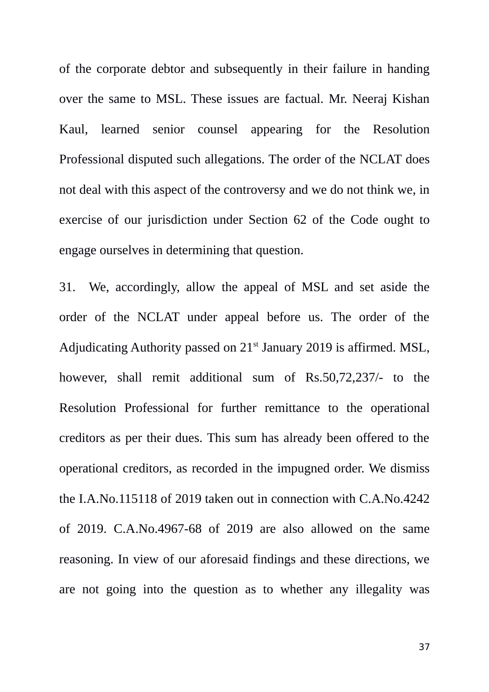of the corporate debtor and subsequently in their failure in handing over the same to MSL. These issues are factual. Mr. Neeraj Kishan Kaul, learned senior counsel appearing for the Resolution Professional disputed such allegations. The order of the NCLAT does not deal with this aspect of the controversy and we do not think we, in exercise of our jurisdiction under Section 62 of the Code ought to engage ourselves in determining that question.

31. We, accordingly, allow the appeal of MSL and set aside the order of the NCLAT under appeal before us. The order of the Adjudicating Authority passed on  $21<sup>st</sup>$  January 2019 is affirmed. MSL, however, shall remit additional sum of Rs.50,72,237/- to the Resolution Professional for further remittance to the operational creditors as per their dues. This sum has already been offered to the operational creditors, as recorded in the impugned order. We dismiss the I.A.No.115118 of 2019 taken out in connection with C.A.No.4242 of 2019. C.A.No.4967-68 of 2019 are also allowed on the same reasoning. In view of our aforesaid findings and these directions, we are not going into the question as to whether any illegality was